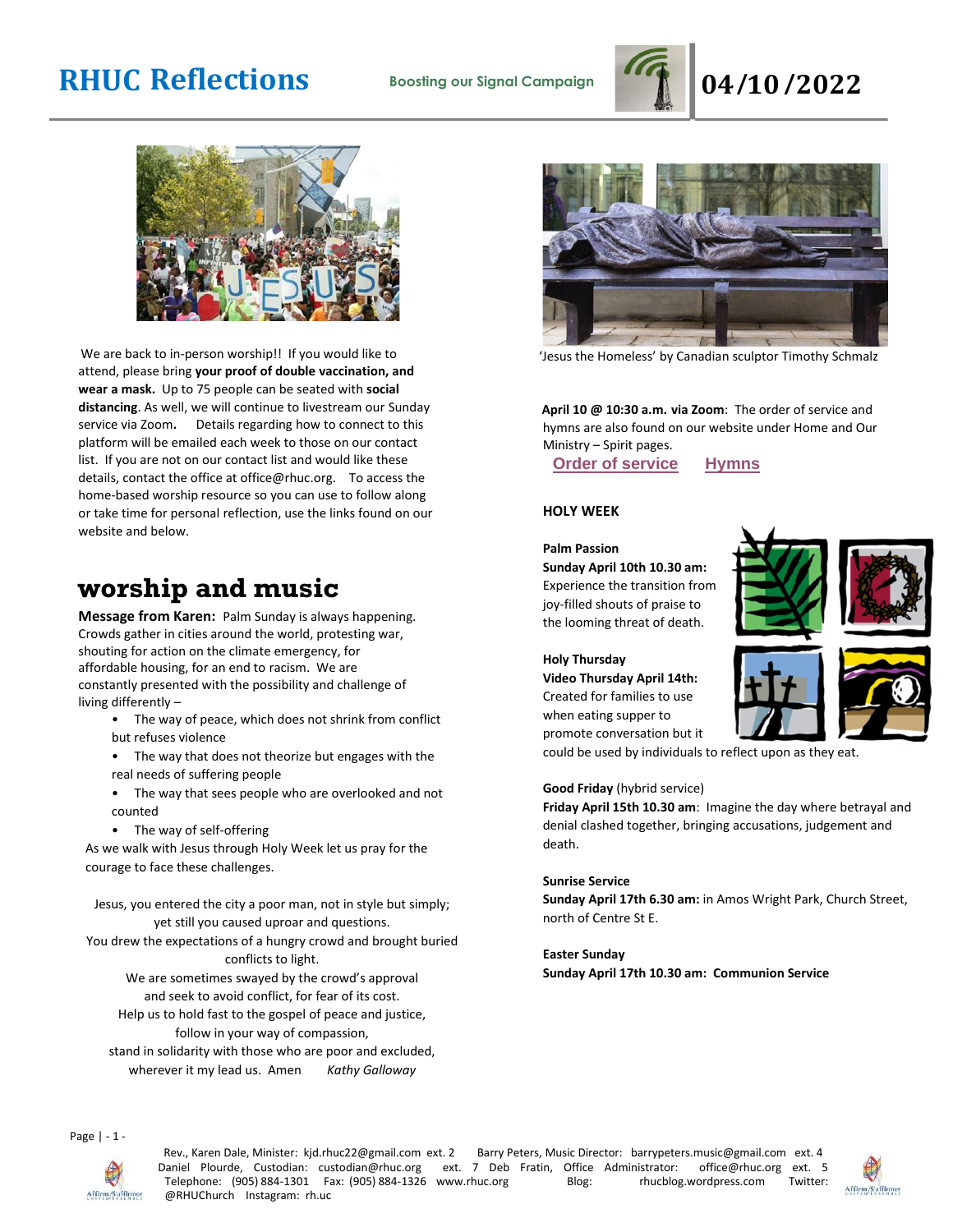



We are back to in-person worship!! If you would like to attend, please bring **your proof of double vaccination, and wear a mask.** Up to 75 people can be seated with **social distancing**. As well, we will continue to livestream our Sunday service via Zoom**.** Details regarding how to connect to this platform will be emailed each week to those on our contact list. If you are not on our contact list and would like these details, contact the office at office@rhuc.org. To access the home-based worship resource so you can use to follow along or take time for personal reflection, use the links found on our website and below.

## **worship and music**

**Message from Karen:** Palm Sunday is always happening. Crowds gather in cities around the world, protesting war, shouting for action on the climate emergency, for affordable housing, for an end to racism. We are constantly presented with the possibility and challenge of living differently –

- The way of peace, which does not shrink from conflict but refuses violence
- The way that does not theorize but engages with the real needs of suffering people
- The way that sees people who are overlooked and not counted
- The way of self-offering

As we walk with Jesus through Holy Week let us pray for the courage to face these challenges.

Jesus, you entered the city a poor man, not in style but simply; yet still you caused uproar and questions.

You drew the expectations of a hungry crowd and brought buried conflicts to light.

We are sometimes swayed by the crowd's approval and seek to avoid conflict, for fear of its cost.

Help us to hold fast to the gospel of peace and justice, follow in your way of compassion,

stand in solidarity with those who are poor and excluded, wherever it my lead us. Amen *Kathy Galloway*



'Jesus the Homeless' by Canadian sculptor Timothy Schmalz

**April 10 @ 10:30 a.m. via Zoom**: The order of service and hymns are also found on our website under Home and Our Ministry – Spirit pages.

**Order of [service](http://rhuc.org/April%2010%20OofS%20Palm%20Passion%20(1).pdf) [Hymns](http://rhuc.org/Hymns%20for%202022%2004%2010%20Palm%20Sunday.pdf)**

### **HOLY WEEK**

#### **Palm Passion**

**Sunday April 10th 10.30 am:** Experience the transition from joy-filled shouts of praise to the looming threat of death.





#### **Holy Thursday**

**Video Thursday April 14th:** Created for families to use when eating supper to promote conversation but it

could be used by individuals to reflect upon as they eat.

#### **Good Friday** (hybrid service)

**Friday April 15th 10.30 am**: Imagine the day where betrayal and denial clashed together, bringing accusations, judgement and death.

#### **Sunrise Service**

**Sunday April 17th 6.30 am:** in Amos Wright Park, Church Street, north of Centre St E.

**Easter Sunday Sunday April 17th 10.30 am: Communion Service**





Page | - 1 -



Rev., Karen Dale, Minister: kjd.rhuc22@gmail.com ext. 2 Barry Peters, Music Director: barrypeters.music@gmail.com ext. 4<br>Vaniel Plourde, Custodian: custodian@rhuc.org ext. 7 Deb Fratin, Office Administrator: office@rhuc.or Daniel Plourde, Custodian: custodian@rhuc.org ext. 7 Deb Fratin, Office Administrator: office@rhuc.org ext. 5 Telephone: (905) 884-1301 Fax: (905) 884-1326 www.rhuc.org Blog: rhucblog.wordpress.com Twitter: @RHUChurch Instagram: rh.uc

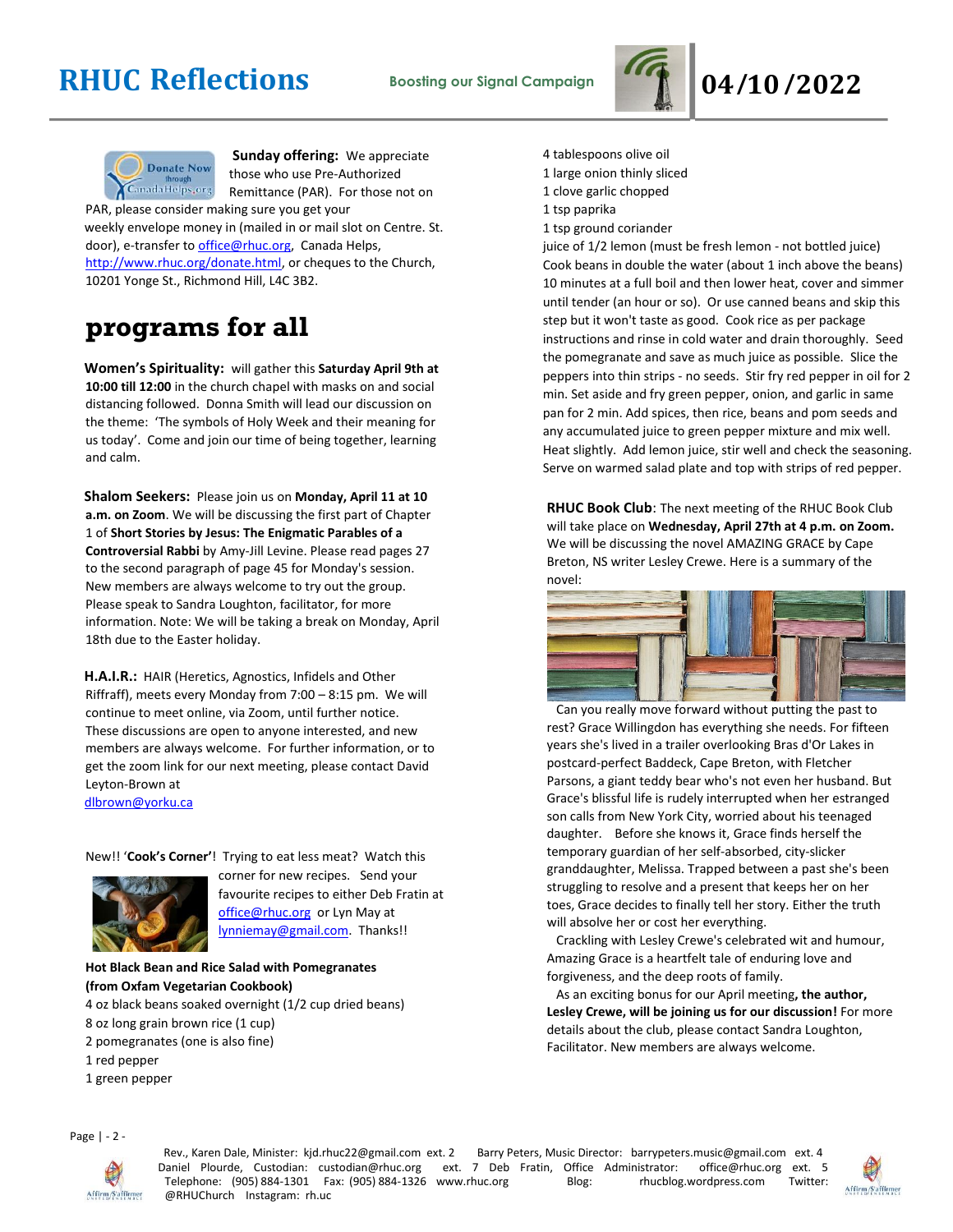



**Sunday offering:** We appreciate those who use Pre-Authorized Remittance (PAR). For those not on

PAR, please consider making sure you get your weekly envelope money in (mailed in or mail slot on Centre. St. door), e-transfer to office@rhuc.org, Canada Helps, [http://www.rhuc.org/donate.html,](http://www.rhuc.org/donate.html) or cheques to the Church, 10201 Yonge St., Richmond Hill, L4C 3B2.

## **programs for all**

**Women's Spirituality:** will gather this **Saturday April 9th at 10:00 till 12:00** in the church chapel with masks on and social distancing followed. Donna Smith will lead our discussion on the theme: 'The symbols of Holy Week and their meaning for us today'. Come and join our time of being together, learning and calm.

**Shalom Seekers:** Please join us on **Monday, April 11 at 10 a.m. on Zoom**. We will be discussing the first part of Chapter 1 of **Short Stories by Jesus: The Enigmatic Parables of a Controversial Rabbi** by Amy-Jill Levine. Please read pages 27 to the second paragraph of page 45 for Monday's session. New members are always welcome to try out the group. Please speak to Sandra Loughton, facilitator, for more information. Note: We will be taking a break on Monday, April 18th due to the Easter holiday.

**H.A.I.R.:** HAIR (Heretics, Agnostics, Infidels and Other Riffraff), meets every Monday from 7:00 – 8:15 pm. We will continue to meet online, via Zoom, until further notice. These discussions are open to anyone interested, and new members are always welcome. For further information, or to get the zoom link for our next meeting, please contact David Leyton-Brown at dlbrown@yorku.ca

New!! '**Cook's Corner'**! Trying to eat less meat? Watch this



corner for new recipes. Send your favourite recipes to either Deb Fratin at [office@rhuc.org](mailto:office@rhuc.org) or Lyn May at [lynniemay@gmail.com.](mailto:lynniemay@gmail.com) Thanks!!

#### **Hot Black Bean and Rice Salad with Pomegranates (from Oxfam Vegetarian Cookbook)**

4 oz black beans soaked overnight (1/2 cup dried beans)

- 8 oz long grain brown rice (1 cup)
- 2 pomegranates (one is also fine)
- 1 red pepper
- 1 green pepper

4 tablespoons olive oil

- 1 large onion thinly sliced
- 1 clove garlic chopped
- 1 tsp paprika
- 1 tsp ground coriander

juice of 1/2 lemon (must be fresh lemon - not bottled juice) Cook beans in double the water (about 1 inch above the beans) 10 minutes at a full boil and then lower heat, cover and simmer until tender (an hour or so). Or use canned beans and skip this step but it won't taste as good. Cook rice as per package instructions and rinse in cold water and drain thoroughly. Seed the pomegranate and save as much juice as possible. Slice the peppers into thin strips - no seeds. Stir fry red pepper in oil for 2 min. Set aside and fry green pepper, onion, and garlic in same pan for 2 min. Add spices, then rice, beans and pom seeds and any accumulated juice to green pepper mixture and mix well. Heat slightly. Add lemon juice, stir well and check the seasoning. Serve on warmed salad plate and top with strips of red pepper.

**RHUC Book Club**: The next meeting of the RHUC Book Club will take place on **Wednesday, April 27th at 4 p.m. on Zoom.** We will be discussing the novel AMAZING GRACE by Cape Breton, NS writer Lesley Crewe. Here is a summary of the novel:



 Can you really move forward without putting the past to rest? Grace Willingdon has everything she needs. For fifteen years she's lived in a trailer overlooking Bras d'Or Lakes in postcard-perfect Baddeck, Cape Breton, with Fletcher Parsons, a giant teddy bear who's not even her husband. But Grace's blissful life is rudely interrupted when her estranged son calls from New York City, worried about his teenaged daughter. Before she knows it, Grace finds herself the temporary guardian of her self-absorbed, city-slicker granddaughter, Melissa. Trapped between a past she's been struggling to resolve and a present that keeps her on her toes, Grace decides to finally tell her story. Either the truth will absolve her or cost her everything.

 Crackling with Lesley Crewe's celebrated wit and humour, Amazing Grace is a heartfelt tale of enduring love and forgiveness, and the deep roots of family.

 As an exciting bonus for our April meeting**, the author, Lesley Crewe, will be joining us for our discussion!** For more details about the club, please contact Sandra Loughton, Facilitator. New members are always welcome.

Page | - 2 -



Rev., Karen Dale, Minister: kjd.rhuc22@gmail.com ext. 2 Barry Peters, Music Director: barrypeters.music@gmail.com ext. 4 Daniel Plourde, Custodian: custodian@rhuc.org ext. 7 Deb Fratin, Office Administrator: office@rhuc.org ext. 5<br>Telephone: (905) 884-1301 Fax: (905) 884-1326 www.rhuc.org Blog: rhucblog.wordpress.com Twitter: Telephone: (905) 884-1301 Fax: (905) 884-1326 www.rhuc.org Blog: rhucblog.wordpress.com @RHUChurch Instagram: rh.uc

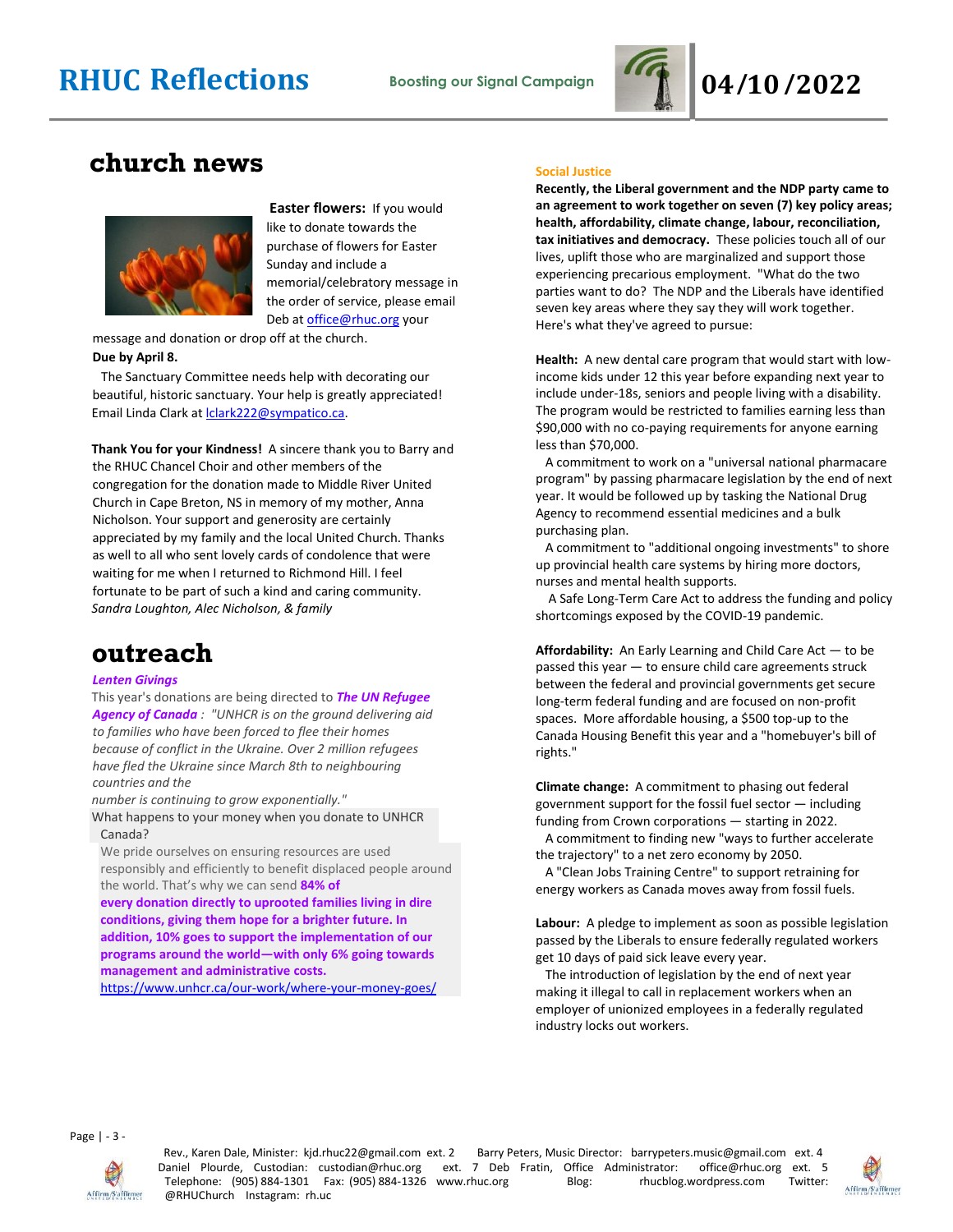

### **church news**



**Easter flowers:** If you would like to donate towards the purchase of flowers for Easter Sunday and include a memorial/celebratory message in the order of service, please email Deb a[t office@rhuc.org](mailto:office@rhuc.org) your

message and donation or drop off at the church. **Due by April 8.**

 The Sanctuary Committee needs help with decorating our beautiful, historic sanctuary. Your help is greatly appreciated! Email Linda Clark a[t lclark222@sympatico.ca.](mailto:lclark222@sympatico.ca)

**Thank You for your Kindness!** A sincere thank you to Barry and the RHUC Chancel Choir and other members of the congregation for the donation made to Middle River United Church in Cape Breton, NS in memory of my mother, Anna Nicholson. Your support and generosity are certainly appreciated by my family and the local United Church. Thanks as well to all who sent lovely cards of condolence that were waiting for me when I returned to Richmond Hill. I feel fortunate to be part of such a kind and caring community. *Sandra Loughton, Alec Nicholson, & family*

### **outreach**

#### *Lenten Givings*

This year's donations are being directed to *The UN Refugee Agency of Canada : "UNHCR is on the ground delivering aid to families who have been forced to flee their homes because of conflict in the Ukraine. Over 2 million refugees have fled the Ukraine since March 8th to neighbouring countries and the* 

*number is continuing to grow exponentially."*

What happens to your money when you donate to UNHCR Canada?

We pride ourselves on ensuring resources are used responsibly and efficiently to benefit displaced people around the world. That's why we can send **84% of**

**every donation directly to uprooted families living in dire conditions, giving them hope for a brighter future. In addition, 10% goes to support the implementation of our programs around the world—with only 6% going towards management and administrative costs.**

<https://www.unhcr.ca/our-work/where-your-money-goes/>

#### **Social Justice**

**Recently, the Liberal government and the NDP party came to an agreement to work together on seven (7) key policy areas; health, affordability, climate change, labour, reconciliation, tax initiatives and democracy.** These policies touch all of our lives, uplift those who are marginalized and support those experiencing precarious employment. "What do the two parties want to do? The NDP and the Liberals have identified seven key areas where they say they will work together. Here's what they've agreed to pursue:

**Health:** A new dental care program that would start with lowincome kids under 12 this year before expanding next year to include under-18s, seniors and people living with a disability. The program would be restricted to families earning less than \$90,000 with no co-paying requirements for anyone earning less than \$70,000.

 A commitment to work on a "universal national pharmacare program" by passing pharmacare legislation by the end of next year. It would be followed up by tasking the National Drug Agency to recommend essential medicines and a bulk purchasing plan.

 A commitment to "additional ongoing investments" to shore up provincial health care systems by hiring more doctors, nurses and mental health supports.

 A Safe Long-Term Care Act to address the funding and policy shortcomings exposed by the COVID-19 pandemic.

**Affordability:** An Early Learning and Child Care Act — to be passed this year — to ensure child care agreements struck between the federal and provincial governments get secure long-term federal funding and are focused on non-profit spaces. More affordable housing, a \$500 top-up to the Canada Housing Benefit this year and a "homebuyer's bill of rights."

**Climate change:** A commitment to phasing out federal government support for the fossil fuel sector — including funding from Crown corporations — starting in 2022.

 A commitment to finding new "ways to further accelerate the trajectory" to a net zero economy by 2050.

 A "Clean Jobs Training Centre" to support retraining for energy workers as Canada moves away from fossil fuels.

**Labour:** A pledge to implement as soon as possible legislation passed by the Liberals to ensure federally regulated workers get 10 days of paid sick leave every year.

 The introduction of legislation by the end of next year making it illegal to call in replacement workers when an employer of unionized employees in a federally regulated industry locks out workers.

Page | - 3 -



Rev., Karen Dale, Minister: kjd.rhuc22@gmail.com ext. 2 Barry Peters, Music Director: barrypeters.music@gmail.com ext. 4 Daniel Plourde, Custodian: custodian@rhuc.org ext. 7 Deb Fratin, Office Administrator: office@rhuc.org ext. 5 Telephone: (905) 884-1301 Fax: (905) 884-1326 www.rhuc.org Blog: rhucblog.wordpress.com Twitter: @RHUChurch Instagram: rh.uc

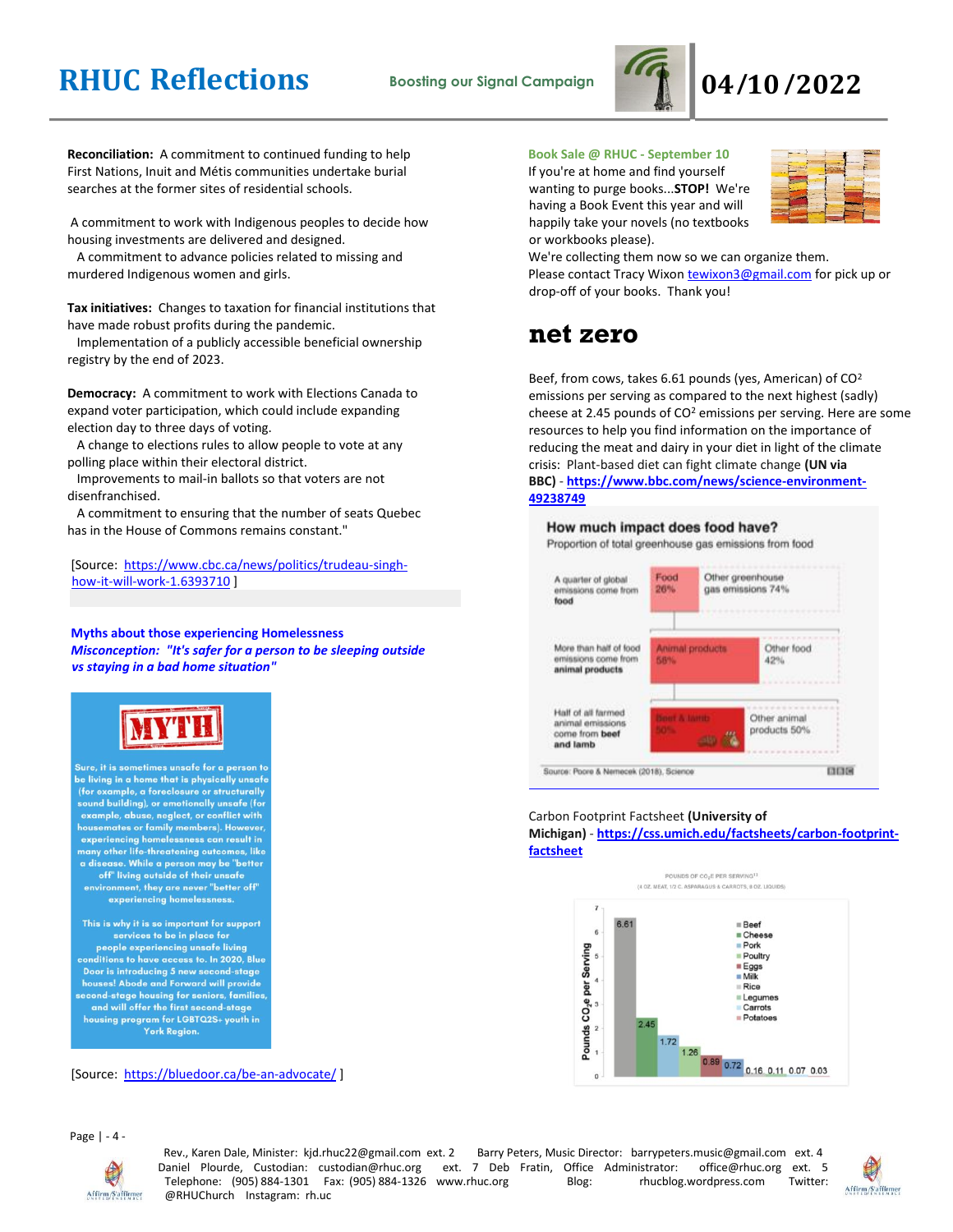

**Reconciliation:** A commitment to continued funding to help First Nations, Inuit and Métis communities undertake burial searches at the former sites of residential schools.

A commitment to work with Indigenous peoples to decide how housing investments are delivered and designed.

 A commitment to advance policies related to missing and murdered Indigenous women and girls.

**Tax initiatives:** Changes to taxation for financial institutions that have made robust profits during the pandemic.

 Implementation of a publicly accessible beneficial ownership registry by the end of 2023.

**Democracy:** A commitment to work with Elections Canada to expand voter participation, which could include expanding election day to three days of voting.

 A change to elections rules to allow people to vote at any polling place within their electoral district.

 Improvements to mail-in ballots so that voters are not disenfranchised.

 A commitment to ensuring that the number of seats Quebec has in the House of Commons remains constant."

[Source: [https://www.cbc.ca/news/politics/trudeau-singh](https://www.cbc.ca/news/politics/trudeau-singh-how-it-will-work-1.6393710)[how-it-will-work-1.6393710](https://www.cbc.ca/news/politics/trudeau-singh-how-it-will-work-1.6393710) ]

**Myths about those experiencing Homelessness** *Misconception: "It's safer for a person to be sleeping outside vs staying in a bad home situation"*



Sure, it is sometimes unsafe for a person to be living in a home that is physically unsafe (for example, a foreclosure or structurally<br>sound building), or emotionally unsafe (for example, abuse, neglect, or conflict with<br>housemates or family members). However,<br>experiencing homelessness can result in<br>many other life-threatening outcomes, like a disease. While a person may be "better<br>off" living outside of their unsafe environment, they are never "better off" experiencing homelessness. This is why it is so important for support services to be in place for

people experiencing unsafe living conditions to have access to. In 2020, Blue Door is introducing 5 new second-stage<br>houses! Abode and Forward will provide cond-stage housing for seniors, families<br>and will offer the first second-stage housing program for LGBTQ2S+ youth in York Region.

[Source: <https://bluedoor.ca/be-an-advocate/>]

#### Page | - 4 -



Rev., Karen Dale, Minister: kjd.rhuc22@gmail.com ext. 2 Barry Peters, Music Director: barrypeters.music@gmail.com ext. 4<br>19 Janiel Plourde, Custodian: custodian@rhuc.org ext. 7 Deb Fratin, Office Administrator: office@rhuc Daniel Plourde, Custodian: custodian@rhuc.org ext. 7 Deb Fratin, Office Administrator: office@rhuc.org ext. 5<br>Telephone: (905) 884-1301 Fax: (905) 884-1326 www.rhuc.org Blog: rhucblog.wordpress.com Twitter: Telephone: (905) 884-1301 Fax: (905) 884-1326 www.rhuc.org Blog: rhucblog.wordpress.com Twitter: @RHUChurch Instagram: rh.uc



#### **Book Sale @ RHUC - September 10**

If you're at home and find yourself wanting to purge books...**STOP!** We're having a Book Event this year and will happily take your novels (no textbooks or workbooks please).



We're collecting them now so we can organize them. Please contact Tracy Wixon [tewixon3@gmail.com](mailto:tewixon3@gmail.com) for pick up or drop-off of your books. Thank you!

### **net zero**

Beef, from cows, takes 6.61 pounds (yes, American) of CO<sup>2</sup> emissions per serving as compared to the next highest (sadly) cheese at 2.45 pounds of  $CO<sup>2</sup>$  emissions per serving. Here are some resources to help you find information on the importance of reducing the meat and dairy in your diet in light of the climate crisis: Plant-based diet can fight climate change **(UN via BBC)** - **[https://www.bbc.com/news/science-environment-](https://www.bbc.com/news/science-environment-49238749)[49238749](https://www.bbc.com/news/science-environment-49238749)**

#### How much impact does food have?

Proportion of total greenhouse gas emissions from food



#### Carbon Footprint Factsheet **(University of Michigan)** - **[https://css.umich.edu/factsheets/carbon-footprint](https://css.umich.edu/factsheets/carbon-footprint-f#actsheet)[factsheet](https://css.umich.edu/factsheets/carbon-footprint-f#actsheet)**